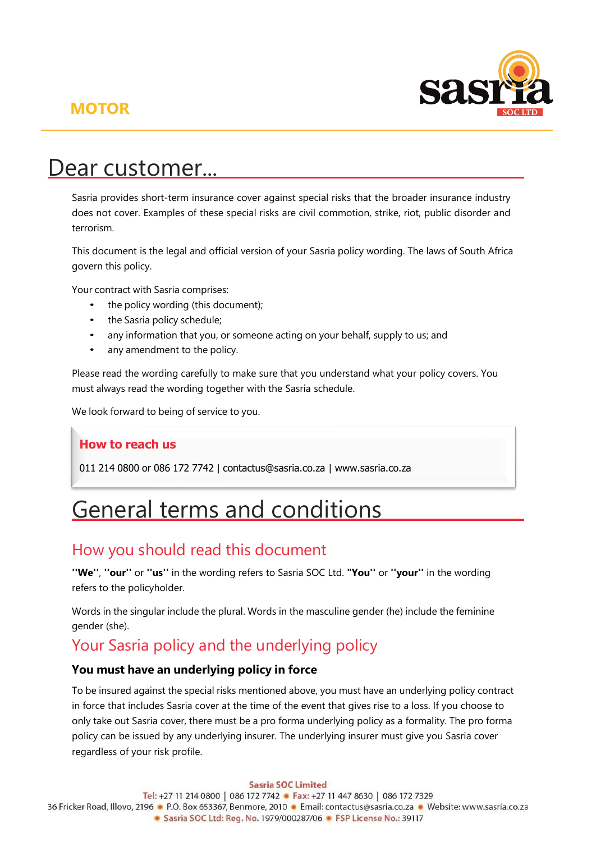# **MOTOR**



# Dear customer...

Sasria provides short-term insurance cover against special risks that the broader insurance industry does not cover. Examples of these special risks are civil commotion, strike, riot, public disorder and terrorism.

This document is the legal and official version of your Sasria policy wording. The laws of South Africa govern this policy.

Your contract with Sasria comprises:

- the policy wording (this document);
- the Sasria policy schedule;
- any information that you, or someone acting on your behalf, supply to us; and
- any amendment to the policy.

Please read the wording carefully to make sure that you understand what your policy covers. You must always read the wording together with the Sasria schedule.

We look forward to being of service to you.

### **How to reach us**

011 214 0800 or 086 172 7742 ǀ [contactus@sasria.co.za](mailto:contactus@sasria.co.za) ǀ [www.sasria.co.za](http://www.sasria.co.za/)

# General terms and conditions

## How you should read this document

**''We''**, **''our''** or **''us''** in the wording refers to Sasria SOC Ltd. **"You''** or **''your''** in the wording refers to the policyholder.

Words in the singular include the plural. Words in the masculine gender (he) include the feminine gender (she).

# Your Sasria policy and the underlying policy

### **You must have an underlying policy in force**

To be insured against the special risks mentioned above, you must have an underlying policy contract in force that includes Sasria cover at the time of the event that gives rise to a loss. If you choose to only take out Sasria cover, there must be a pro forma underlying policy as a formality. The pro forma policy can be issued by any underlying insurer. The underlying insurer must give you Sasria cover regardless of your risk profile.

**Sasria SOC Limited** Tel: +27 11 214 0800 | 086 172 7742 · Fax: +27 11 447 8630 | 086 172 7329 36 Fricker Road, Illovo, 2196 • P.O. Box 653367, Benmore, 2010 • Email: contactus@sasria.co.za • Website: www.sasria.co.za • Sasria SOC Ltd: Reg. No. 1979/000287/06 • FSP License No.: 39117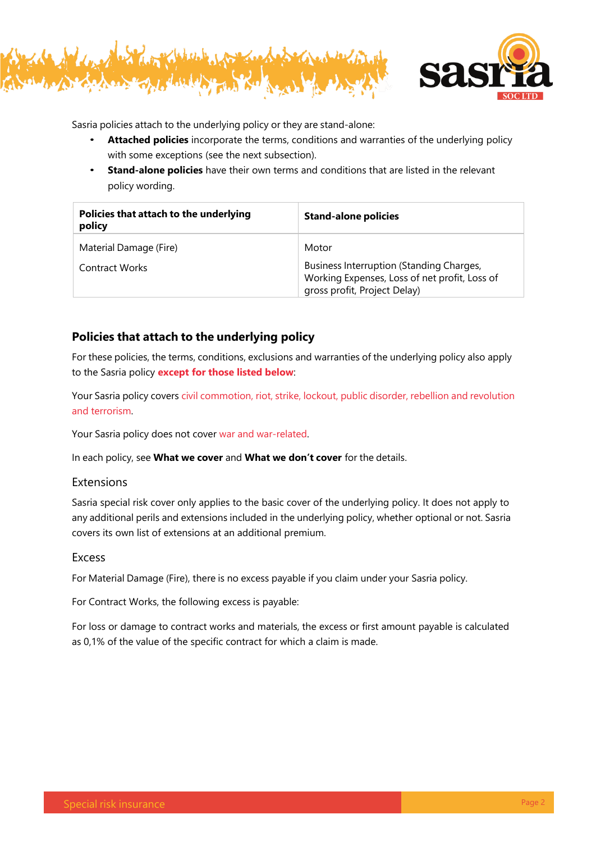



Sasria policies attach to the underlying policy or they are stand-alone:

- **Attached policies** incorporate the terms, conditions and warranties of the underlying policy with some exceptions (see the next subsection).
- **Stand-alone policies** have their own terms and conditions that are listed in the relevant policy wording.

| Policies that attach to the underlying<br>policy | <b>Stand-alone policies</b>                                                                                                        |
|--------------------------------------------------|------------------------------------------------------------------------------------------------------------------------------------|
| Material Damage (Fire)<br>Contract Works         | Motor<br>Business Interruption (Standing Charges,<br>Working Expenses, Loss of net profit, Loss of<br>gross profit, Project Delay) |

### **Policies that attach to the underlying policy**

For these policies, the terms, conditions, exclusions and warranties of the underlying policy also apply to the Sasria policy **except for those listed below**:

Your Sasria policy covers civil commotion, riot, strike, lockout, public disorder, rebellion and revolution and terrorism.

Your Sasria policy does not cover war and war-related.

In each policy, see **What we cover** and **What we don't cover** for the details.

### Extensions

Sasria special risk cover only applies to the basic cover of the underlying policy. It does not apply to any additional perils and extensions included in the underlying policy, whether optional or not. Sasria covers its own list of extensions at an additional premium.

### Excess

For Material Damage (Fire), there is no excess payable if you claim under your Sasria policy.

For Contract Works, the following excess is payable:

For loss or damage to contract works and materials, the excess or first amount payable is calculated as 0,1% of the value of the specific contract for which a claim is made.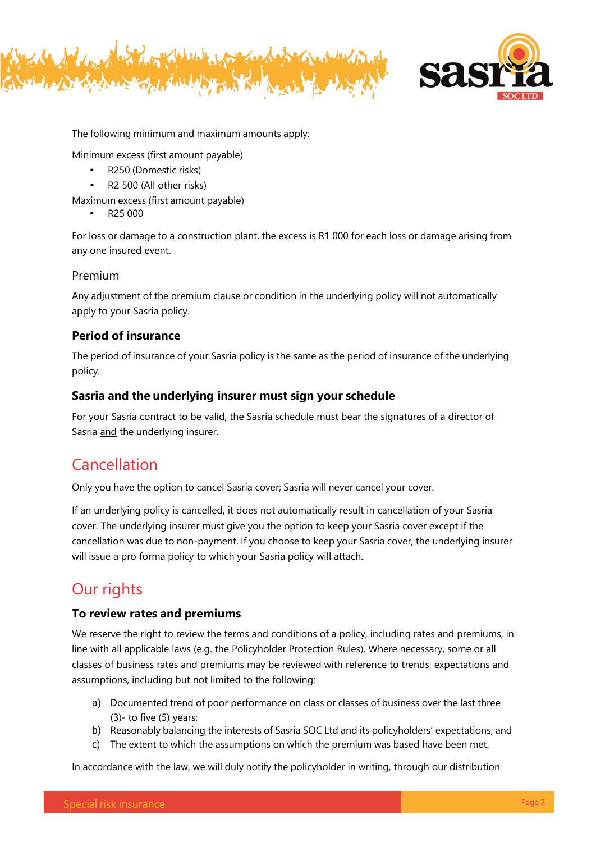



The following minimum and maximum amounts apply:

Minimum excess (first amount payable)

- R250 (Domestic risks)
- R2 500 (All other risks)

Maximum excess (first amount payable)

• R25 000

For loss or damage to a construction plant, the excess is R1 000 for each loss or damage arising from any one insured event.

### Premium

Any adjustment of the premium clause or condition in the underlying policy will not automatically apply to your Sasria policy.

### **Period of insurance**

The period of insurance of your Sasria policy is the same as the period of insurance of the underlying policy.

### **Sasria and the underlying insurer must sign your schedule**

For your Sasria contract to be valid, the Sasria schedule must bear the signatures of a director of Sasria and the underlying insurer.

# Cancellation

Only you have the option to cancel Sasria cover; Sasria will never cancel your cover.

If an underlying policy is cancelled, it does not automatically result in cancellation of your Sasria cover. The underlying insurer must give you the option to keep your Sasria cover except if the cancellation was due to non-payment. If you choose to keep your Sasria cover, the underlying insurer will issue a pro forma policy to which your Sasria policy will attach.

# Our rights

### **To review rates and premiums**

We reserve the right to review the terms and conditions of a policy, including rates and premiums, in line with all applicable laws (e.g. the Policyholder Protection Rules). Where necessary, some or all classes of business rates and premiums may be reviewed with reference to trends, expectations and assumptions, including but not limited to the following:

- a) Documented trend of poor performance on class or classes of business over the last three  $(3)$ - to five  $(5)$  years;
- b) Reasonably balancing the interests of Sasria SOC Ltd and its policyholders' expectations; and
- c) The extent to which the assumptions on which the premium was based have been met.

In accordance with the law, we will duly notify the policyholder in writing, through our distribution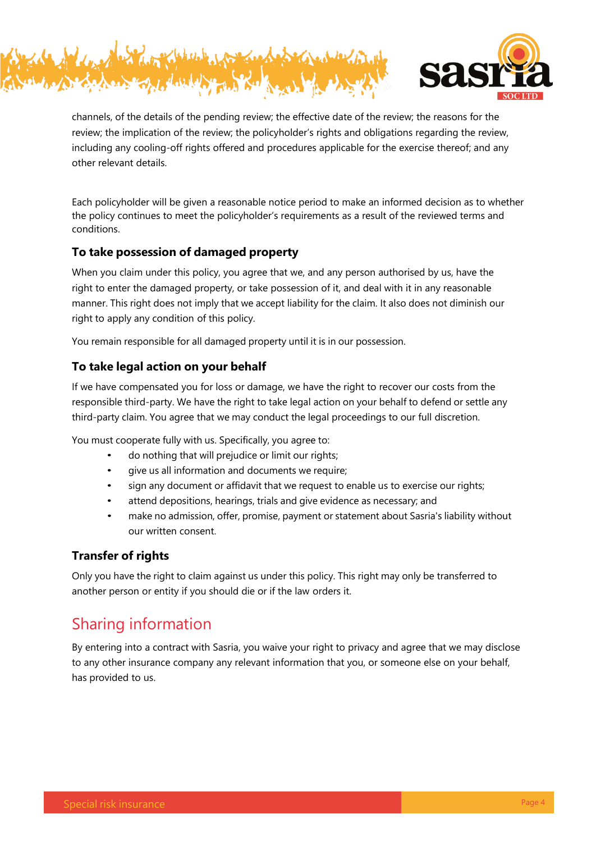



channels, of the details of the pending review; the effective date of the review; the reasons for the review; the implication of the review; the policyholder's rights and obligations regarding the review, including any cooling-off rights offered and procedures applicable for the exercise thereof; and any other relevant details.

Each policyholder will be given a reasonable notice period to make an informed decision as to whether the policy continues to meet the policyholder's requirements as a result of the reviewed terms and conditions.

### **To take possession of damaged property**

When you claim under this policy, you agree that we, and any person authorised by us, have the right to enter the damaged property, or take possession of it, and deal with it in any reasonable manner. This right does not imply that we accept liability for the claim. It also does not diminish our right to apply any condition of this policy.

You remain responsible for all damaged property until it is in our possession.

### **To take legal action on your behalf**

If we have compensated you for loss or damage, we have the right to recover our costs from the responsible third-party. We have the right to take legal action on your behalf to defend or settle any third-party claim. You agree that we may conduct the legal proceedings to our full discretion.

You must cooperate fully with us. Specifically, you agree to:

- do nothing that will prejudice or limit our rights;
- give us all information and documents we require;
- sign any document or affidavit that we request to enable us to exercise our rights;
- attend depositions, hearings, trials and give evidence as necessary; and
- make no admission, offer, promise, payment or statement about Sasria's liability without our written consent.

### **Transfer of rights**

Only you have the right to claim against us under this policy. This right may only be transferred to another person or entity if you should die or if the law orders it.

# Sharing information

By entering into a contract with Sasria, you waive your right to privacy and agree that we may disclose to any other insurance company any relevant information that you, or someone else on your behalf, has provided to us.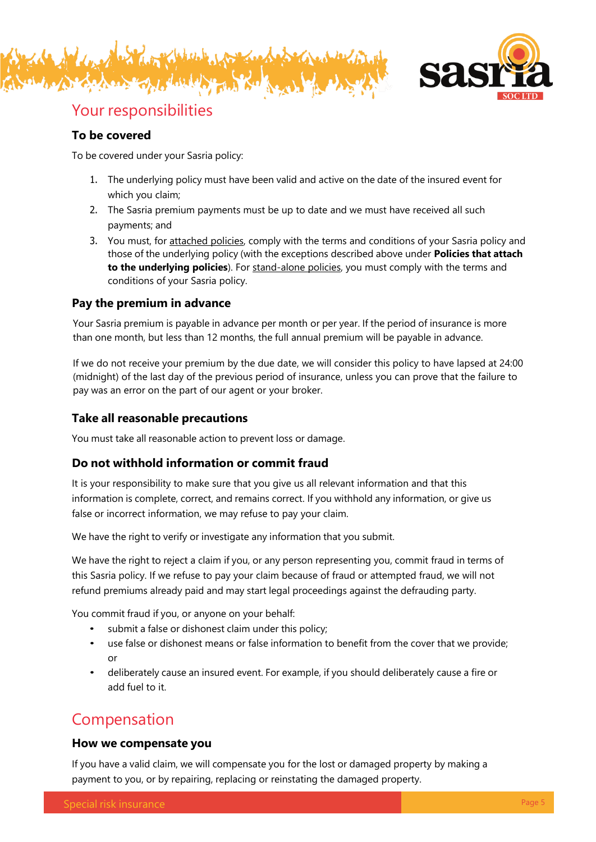



### Your responsibilities

### **To be covered**

To be covered under your Sasria policy:

- 1. The underlying policy must have been valid and active on the date of the insured event for which you claim;
- 2. The Sasria premium payments must be up to date and we must have received all such payments; and
- 3. You must, for attached policies, comply with the terms and conditions of your Sasria policy and those of the underlying policy (with the exceptions described above under **Policies that attach to the underlying policies**). For stand-alone policies, you must comply with the terms and conditions of your Sasria policy.

### **Pay the premium in advance**

Your Sasria premium is payable in advance per month or per year. If the period of insurance is more than one month, but less than 12 months, the full annual premium will be payable in advance.

If we do not receive your premium by the due date, we will consider this policy to have lapsed at 24:00 (midnight) of the last day of the previous period of insurance, unless you can prove that the failure to pay was an error on the part of our agent or your broker.

### **Take all reasonable precautions**

You must take all reasonable action to prevent loss or damage.

### **Do not withhold information or commit fraud**

It is your responsibility to make sure that you give us all relevant information and that this information is complete, correct, and remains correct. If you withhold any information, or give us false or incorrect information, we may refuse to pay your claim.

We have the right to verify or investigate any information that you submit.

We have the right to reject a claim if you, or any person representing you, commit fraud in terms of this Sasria policy. If we refuse to pay your claim because of fraud or attempted fraud, we will not refund premiums already paid and may start legal proceedings against the defrauding party.

You commit fraud if you, or anyone on your behalf:

- submit a false or dishonest claim under this policy;
- use false or dishonest means or false information to benefit from the cover that we provide; or
- deliberately cause an insured event. For example, if you should deliberately cause a fire or add fuel to it.

# Compensation

### **How we compensate you**

If you have a valid claim, we will compensate you for the lost or damaged property by making a payment to you, or by repairing, replacing or reinstating the damaged property.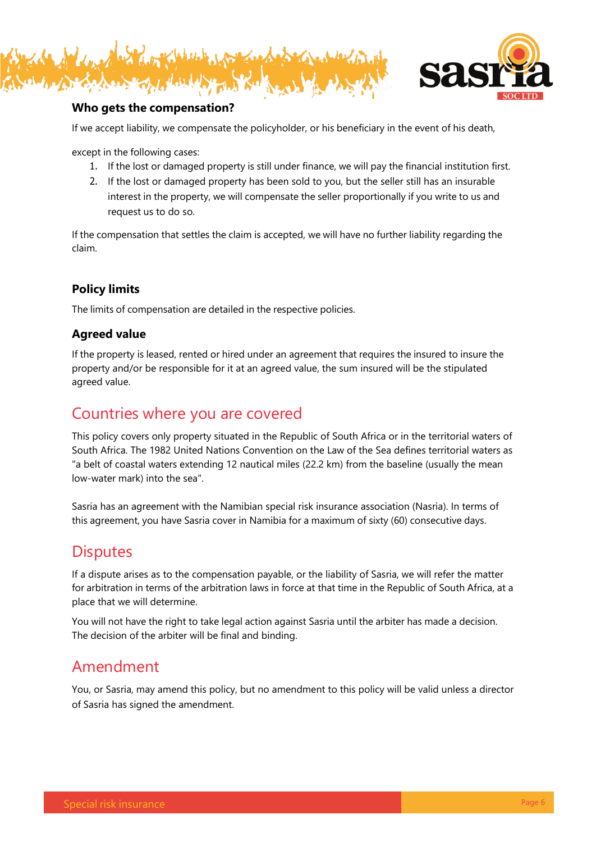



### **Who gets the compensation?**

If we accept liability, we compensate the policyholder, or his beneficiary in the event of his death,

except in the following cases:

- 1. If the lost or damaged property is still under finance, we will pay the financial institution first.
- 2. If the lost or damaged property has been sold to you, but the seller still has an insurable interest in the property, we will compensate the seller proportionally if you write to us and request us to do so.

If the compensation that settles the claim is accepted, we will have no further liability regarding the claim.

### **Policy limits**

The limits of compensation are detailed in the respective policies.

### **Agreed value**

If the property is leased, rented or hired under an agreement that requires the insured to insure the property and/or be responsible for it at an agreed value, the sum insured will be the stipulated agreed value.

### Countries where you are covered

This policy covers only property situated in the Republic of South Africa or in the territorial waters of South Africa. The 1982 United Nations Convention on the Law of the Sea defines territorial waters as "a belt of coastal waters extending 12 nautical miles (22.2 km) from the baseline (usually the mean low-water mark) into the sea".

Sasria has an agreement with the Namibian special risk insurance association (Nasria). In terms of this agreement, you have Sasria cover in Namibia for a maximum of sixty (60) consecutive days.

## **Disputes**

If a dispute arises as to the compensation payable, or the liability of Sasria, we will refer the matter for arbitration in terms of the arbitration laws in force at that time in the Republic of South Africa, at a place that we will determine.

You will not have the right to take legal action against Sasria until the arbiter has made a decision. The decision of the arbiter will be final and binding.

## Amendment

You, or Sasria, may amend this policy, but no amendment to this policy will be valid unless a director of Sasria has signed the amendment.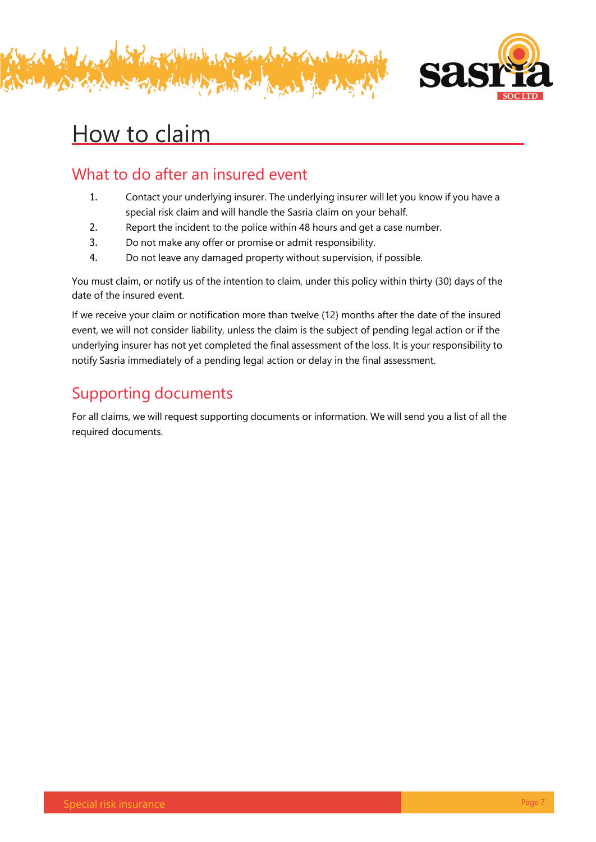



# How to claim

# What to do after an insured event

- 1. Contact your underlying insurer. The underlying insurer will let you know if you have a special risk claim and will handle the Sasria claim on your behalf.
- 2. Report the incident to the police within 48 hours and get a case number.
- 3. Do not make any offer or promise or admit responsibility.
- 4. Do not leave any damaged property without supervision, if possible.

You must claim, or notify us of the intention to claim, under this policy within thirty (30) days of the date of the insured event.

If we receive your claim or notification more than twelve (12) months after the date of the insured event, we will not consider liability, unless the claim is the subject of pending legal action or if the underlying insurer has not yet completed the final assessment of the loss. It is your responsibility to notify Sasria immediately of a pending legal action or delay in the final assessment.

# Supporting documents

For all claims, we will request supporting documents or information. We will send you a list of all the required documents.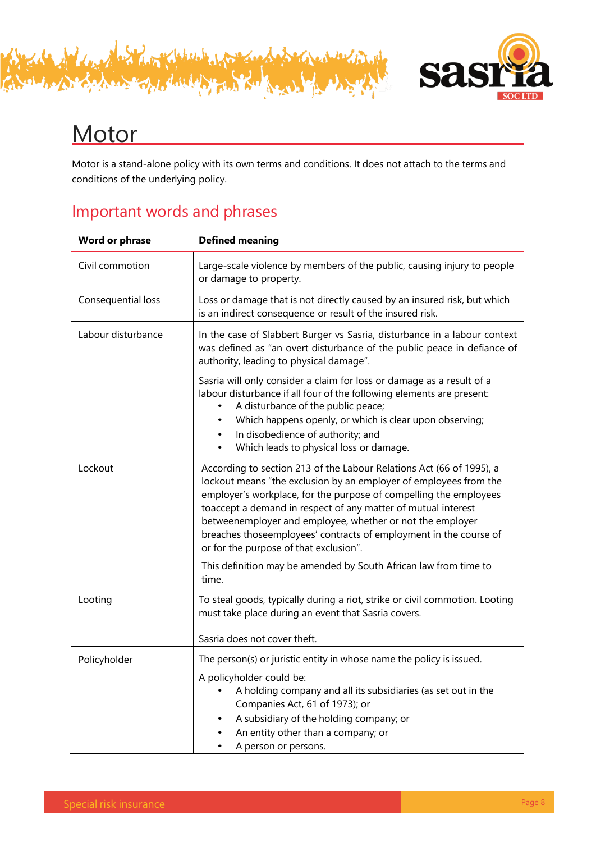



# **Motor**

Motor is a stand-alone policy with its own terms and conditions. It does not attach to the terms and conditions of the underlying policy.

# Important words and phrases

| <b>Word or phrase</b> | <b>Defined meaning</b>                                                                                                                                                                                                                                                                                                                                                                                                                                      |
|-----------------------|-------------------------------------------------------------------------------------------------------------------------------------------------------------------------------------------------------------------------------------------------------------------------------------------------------------------------------------------------------------------------------------------------------------------------------------------------------------|
| Civil commotion       | Large-scale violence by members of the public, causing injury to people<br>or damage to property.                                                                                                                                                                                                                                                                                                                                                           |
| Consequential loss    | Loss or damage that is not directly caused by an insured risk, but which<br>is an indirect consequence or result of the insured risk.                                                                                                                                                                                                                                                                                                                       |
| Labour disturbance    | In the case of Slabbert Burger vs Sasria, disturbance in a labour context<br>was defined as "an overt disturbance of the public peace in defiance of<br>authority, leading to physical damage".                                                                                                                                                                                                                                                             |
|                       | Sasria will only consider a claim for loss or damage as a result of a<br>labour disturbance if all four of the following elements are present:<br>A disturbance of the public peace;<br>Which happens openly, or which is clear upon observing;<br>In disobedience of authority; and<br>Which leads to physical loss or damage.                                                                                                                             |
| Lockout               | According to section 213 of the Labour Relations Act (66 of 1995), a<br>lockout means "the exclusion by an employer of employees from the<br>employer's workplace, for the purpose of compelling the employees<br>toaccept a demand in respect of any matter of mutual interest<br>betweenemployer and employee, whether or not the employer<br>breaches thoseemployees' contracts of employment in the course of<br>or for the purpose of that exclusion". |
|                       | This definition may be amended by South African law from time to<br>time.                                                                                                                                                                                                                                                                                                                                                                                   |
| Looting               | To steal goods, typically during a riot, strike or civil commotion. Looting<br>must take place during an event that Sasria covers.                                                                                                                                                                                                                                                                                                                          |
|                       | Sasria does not cover theft.                                                                                                                                                                                                                                                                                                                                                                                                                                |
| Policyholder          | The person(s) or juristic entity in whose name the policy is issued.<br>A policyholder could be:<br>A holding company and all its subsidiaries (as set out in the<br>Companies Act, 61 of 1973); or<br>A subsidiary of the holding company; or                                                                                                                                                                                                              |
|                       | An entity other than a company; or<br>A person or persons.                                                                                                                                                                                                                                                                                                                                                                                                  |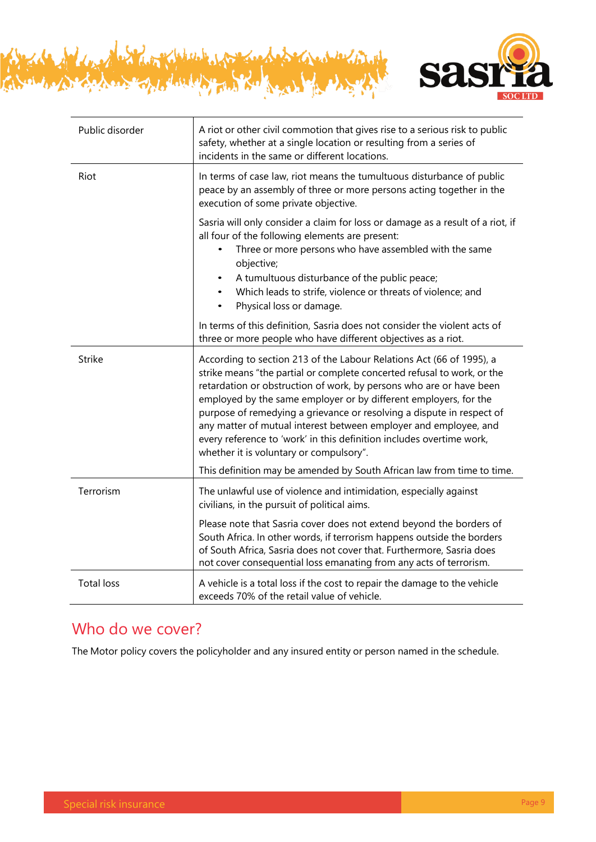

| Public disorder   | A riot or other civil commotion that gives rise to a serious risk to public<br>safety, whether at a single location or resulting from a series of<br>incidents in the same or different locations.                                                                                                                                                                                                                                                                                                                                                         |
|-------------------|------------------------------------------------------------------------------------------------------------------------------------------------------------------------------------------------------------------------------------------------------------------------------------------------------------------------------------------------------------------------------------------------------------------------------------------------------------------------------------------------------------------------------------------------------------|
| Riot              | In terms of case law, riot means the tumultuous disturbance of public<br>peace by an assembly of three or more persons acting together in the<br>execution of some private objective.                                                                                                                                                                                                                                                                                                                                                                      |
|                   | Sasria will only consider a claim for loss or damage as a result of a riot, if<br>all four of the following elements are present:<br>Three or more persons who have assembled with the same<br>objective;<br>A tumultuous disturbance of the public peace;<br>٠<br>Which leads to strife, violence or threats of violence; and<br>$\bullet$<br>Physical loss or damage.<br>$\bullet$                                                                                                                                                                       |
|                   | In terms of this definition, Sasria does not consider the violent acts of<br>three or more people who have different objectives as a riot.                                                                                                                                                                                                                                                                                                                                                                                                                 |
| <b>Strike</b>     | According to section 213 of the Labour Relations Act (66 of 1995), a<br>strike means "the partial or complete concerted refusal to work, or the<br>retardation or obstruction of work, by persons who are or have been<br>employed by the same employer or by different employers, for the<br>purpose of remedying a grievance or resolving a dispute in respect of<br>any matter of mutual interest between employer and employee, and<br>every reference to 'work' in this definition includes overtime work,<br>whether it is voluntary or compulsory". |
|                   | This definition may be amended by South African law from time to time.                                                                                                                                                                                                                                                                                                                                                                                                                                                                                     |
| Terrorism         | The unlawful use of violence and intimidation, especially against<br>civilians, in the pursuit of political aims.                                                                                                                                                                                                                                                                                                                                                                                                                                          |
|                   | Please note that Sasria cover does not extend beyond the borders of<br>South Africa. In other words, if terrorism happens outside the borders<br>of South Africa, Sasria does not cover that. Furthermore, Sasria does<br>not cover consequential loss emanating from any acts of terrorism.                                                                                                                                                                                                                                                               |
| <b>Total loss</b> | A vehicle is a total loss if the cost to repair the damage to the vehicle<br>exceeds 70% of the retail value of vehicle.                                                                                                                                                                                                                                                                                                                                                                                                                                   |

Kisher haland and

1. Mould Je Les

righe

# Who do we cover?

The Motor policy covers the policyholder and any insured entity or person named in the schedule.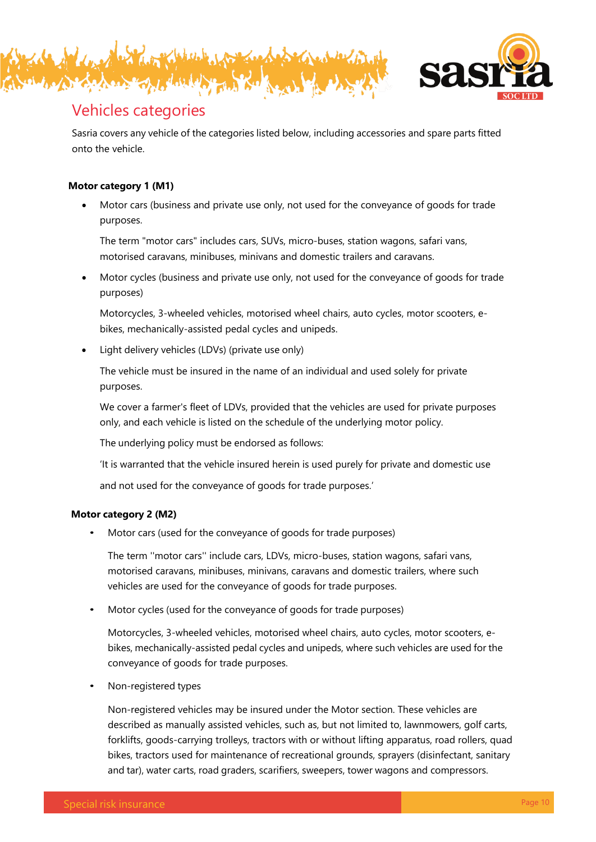



# Vehicles categories

Sasria covers any vehicle of the categories listed below, including accessories and spare parts fitted onto the vehicle.

### **Motor category 1 (M1)**

• Motor cars (business and private use only, not used for the conveyance of goods for trade purposes.

The term "motor cars" includes cars, SUVs, micro-buses, station wagons, safari vans, motorised caravans, minibuses, minivans and domestic trailers and caravans.

• Motor cycles (business and private use only, not used for the conveyance of goods for trade purposes)

Motorcycles, 3-wheeled vehicles, motorised wheel chairs, auto cycles, motor scooters, ebikes, mechanically-assisted pedal cycles and unipeds.

• Light delivery vehicles (LDVs) (private use only)

The vehicle must be insured in the name of an individual and used solely for private purposes.

We cover a farmer's fleet of LDVs, provided that the vehicles are used for private purposes only, and each vehicle is listed on the schedule of the underlying motor policy.

The underlying policy must be endorsed as follows:

'It is warranted that the vehicle insured herein is used purely for private and domestic use

and not used for the conveyance of goods for trade purposes.'

### **Motor category 2 (M2)**

• Motor cars (used for the conveyance of goods for trade purposes)

The term ''motor cars'' include cars, LDVs, micro-buses, station wagons, safari vans, motorised caravans, minibuses, minivans, caravans and domestic trailers, where such vehicles are used for the conveyance of goods for trade purposes.

• Motor cycles (used for the conveyance of goods for trade purposes)

Motorcycles, 3-wheeled vehicles, motorised wheel chairs, auto cycles, motor scooters, ebikes, mechanically-assisted pedal cycles and unipeds, where such vehicles are used for the conveyance of goods for trade purposes.

• Non-registered types

Non-registered vehicles may be insured under the Motor section. These vehicles are described as manually assisted vehicles, such as, but not limited to, lawnmowers, golf carts, forklifts, goods-carrying trolleys, tractors with or without lifting apparatus, road rollers, quad bikes, tractors used for maintenance of recreational grounds, sprayers (disinfectant, sanitary and tar), water carts, road graders, scarifiers, sweepers, tower wagons and compressors.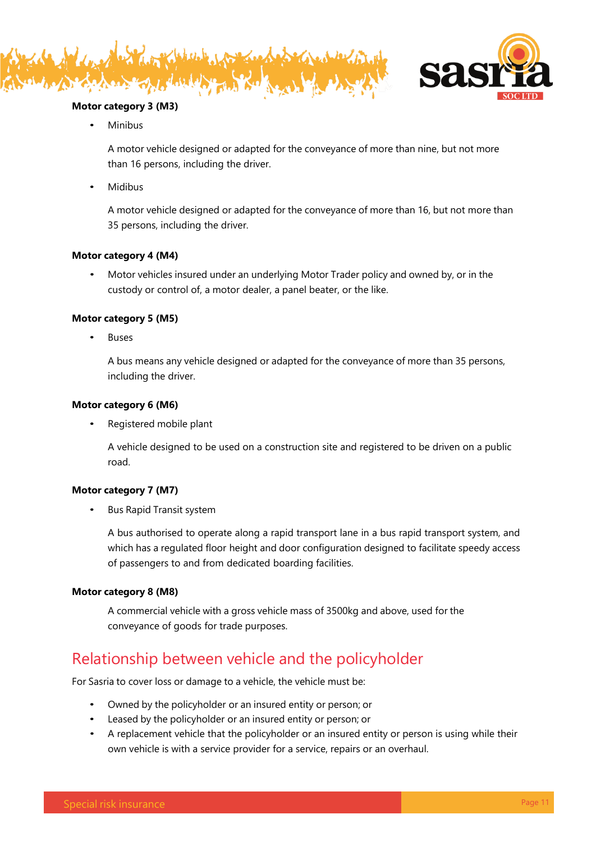



### **Motor category 3 (M3)**

• Minibus

A motor vehicle designed or adapted for the conveyance of more than nine, but not more than 16 persons, including the driver.

• Midibus

A motor vehicle designed or adapted for the conveyance of more than 16, but not more than 35 persons, including the driver.

### **Motor category 4 (M4)**

• Motor vehicles insured under an underlying Motor Trader policy and owned by, or in the custody or control of, a motor dealer, a panel beater, or the like.

### **Motor category 5 (M5)**

**Buses** 

A bus means any vehicle designed or adapted for the conveyance of more than 35 persons, including the driver.

### **Motor category 6 (M6)**

• Registered mobile plant

A vehicle designed to be used on a construction site and registered to be driven on a public road.

### **Motor category 7 (M7)**

• Bus Rapid Transit system

A bus authorised to operate along a rapid transport lane in a bus rapid transport system, and which has a regulated floor height and door configuration designed to facilitate speedy access of passengers to and from dedicated boarding facilities.

### **Motor category 8 (M8)**

A commercial vehicle with a gross vehicle mass of 3500kg and above, used for the conveyance of goods for trade purposes.

# Relationship between vehicle and the policyholder

For Sasria to cover loss or damage to a vehicle, the vehicle must be:

- Owned by the policyholder or an insured entity or person; or
- Leased by the policyholder or an insured entity or person; or
- A replacement vehicle that the policyholder or an insured entity or person is using while their own vehicle is with a service provider for a service, repairs or an overhaul.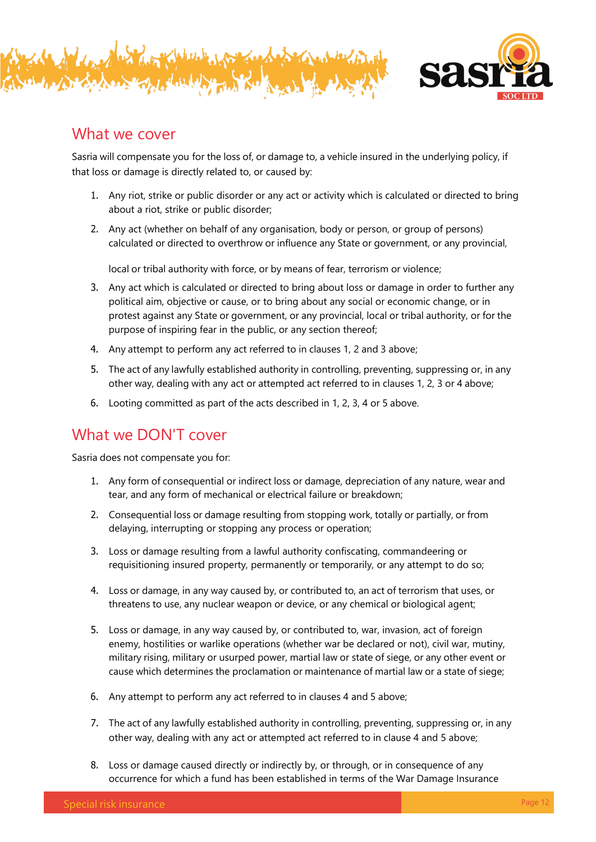



### What we cover

Sasria will compensate you for the loss of, or damage to, a vehicle insured in the underlying policy, if that loss or damage is directly related to, or caused by:

- 1. Any riot, strike or public disorder or any act or activity which is calculated or directed to bring about a riot, strike or public disorder;
- 2. Any act (whether on behalf of any organisation, body or person, or group of persons) calculated or directed to overthrow or influence any State or government, or any provincial,

local or tribal authority with force, or by means of fear, terrorism or violence;

- 3. Any act which is calculated or directed to bring about loss or damage in order to further any political aim, objective or cause, or to bring about any social or economic change, or in protest against any State or government, or any provincial, local or tribal authority, or for the purpose of inspiring fear in the public, or any section thereof;
- 4. Any attempt to perform any act referred to in clauses 1, 2 and 3 above;
- 5. The act of any lawfully established authority in controlling, preventing, suppressing or, in any other way, dealing with any act or attempted act referred to in clauses 1, 2, 3 or 4 above;
- 6. Looting committed as part of the acts described in 1, 2, 3, 4 or 5 above.

# What we DON'T cover

Sasria does not compensate you for:

- 1. Any form of consequential or indirect loss or damage, depreciation of any nature, wear and tear, and any form of mechanical or electrical failure or breakdown;
- 2. Consequential loss or damage resulting from stopping work, totally or partially, or from delaying, interrupting or stopping any process or operation;
- 3. Loss or damage resulting from a lawful authority confiscating, commandeering or requisitioning insured property, permanently or temporarily, or any attempt to do so;
- 4. Loss or damage, in any way caused by, or contributed to, an act of terrorism that uses, or threatens to use, any nuclear weapon or device, or any chemical or biological agent;
- 5. Loss or damage, in any way caused by, or contributed to, war, invasion, act of foreign enemy, hostilities or warlike operations (whether war be declared or not), civil war, mutiny, military rising, military or usurped power, martial law or state of siege, or any other event or cause which determines the proclamation or maintenance of martial law or a state of siege;
- 6. Any attempt to perform any act referred to in clauses 4 and 5 above;
- 7. The act of any lawfully established authority in controlling, preventing, suppressing or, in any other way, dealing with any act or attempted act referred to in clause 4 and 5 above;
- 8. Loss or damage caused directly or indirectly by, or through, or in consequence of any occurrence for which a fund has been established in terms of the War Damage Insurance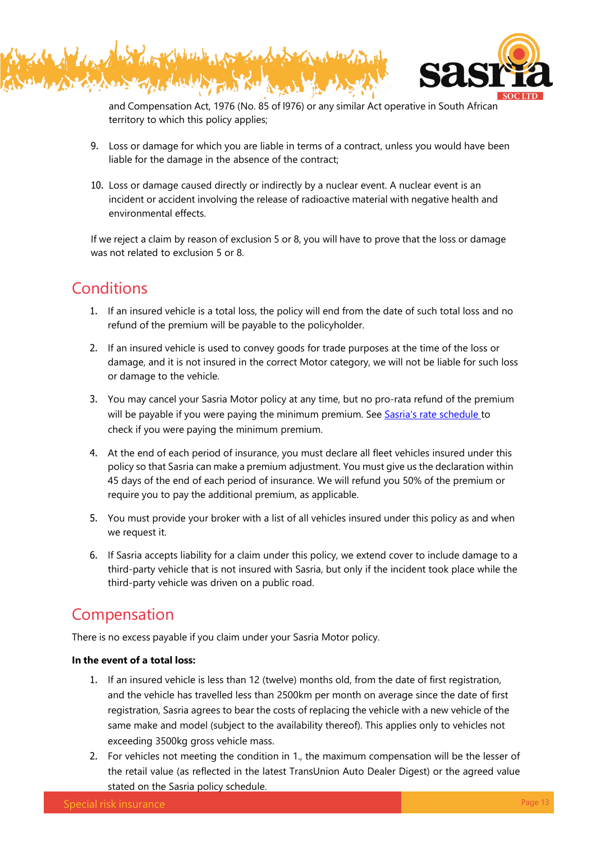



and Compensation Act, 1976 (No. 85 of l976) or any similar Act operative in South African territory to which this policy applies;

- 9. Loss or damage for which you are liable in terms of a contract, unless you would have been liable for the damage in the absence of the contract;
- 10. Loss or damage caused directly or indirectly by a nuclear event. A nuclear event is an incident or accident involving the release of radioactive material with negative health and environmental effects.

If we reject a claim by reason of exclusion 5 or 8, you will have to prove that the loss or damage was not related to exclusion 5 or 8.

# **Conditions**

- 1. If an insured vehicle is a total loss, the policy will end from the date of such total loss and no refund of the premium will be payable to the policyholder.
- 2. If an insured vehicle is used to convey goods for trade purposes at the time of the loss or damage, and it is not insured in the correct Motor category, we will not be liable for such loss or damage to the vehicle.
- 3. You may cancel your Sasria Motor policy at any time, but no pro-rata refund of the premium will be payable if you were paying the minimum premium. See [Sasria's rate schedule t](https://www.sasria.co.za/wp-content/uploads/2022/01/Sasria-rates-Schedule-2022-02-01.pdf)o check if you were paying the minimum premium.
- 4. At the end of each period of insurance, you must declare all fleet vehicles insured under this policy so that Sasria can make a premium adjustment. You must give us the declaration within 45 days of the end of each period of insurance. We will refund you 50% of the premium or require you to pay the additional premium, as applicable.
- 5. You must provide your broker with a list of all vehicles insured under this policy as and when we request it.
- 6. If Sasria accepts liability for a claim under this policy, we extend cover to include damage to a third-party vehicle that is not insured with Sasria, but only if the incident took place while the third-party vehicle was driven on a public road.

# Compensation

There is no excess payable if you claim under your Sasria Motor policy.

### **In the event of a total loss:**

- 1. If an insured vehicle is less than 12 (twelve) months old, from the date of first registration, and the vehicle has travelled less than 2500km per month on average since the date of first registration, Sasria agrees to bear the costs of replacing the vehicle with a new vehicle of the same make and model (subject to the availability thereof). This applies only to vehicles not exceeding 3500kg gross vehicle mass.
- 2. For vehicles not meeting the condition in 1., the maximum compensation will be the lesser of the retail value (as reflected in the latest TransUnion Auto Dealer Digest) or the agreed value stated on the Sasria policy schedule.